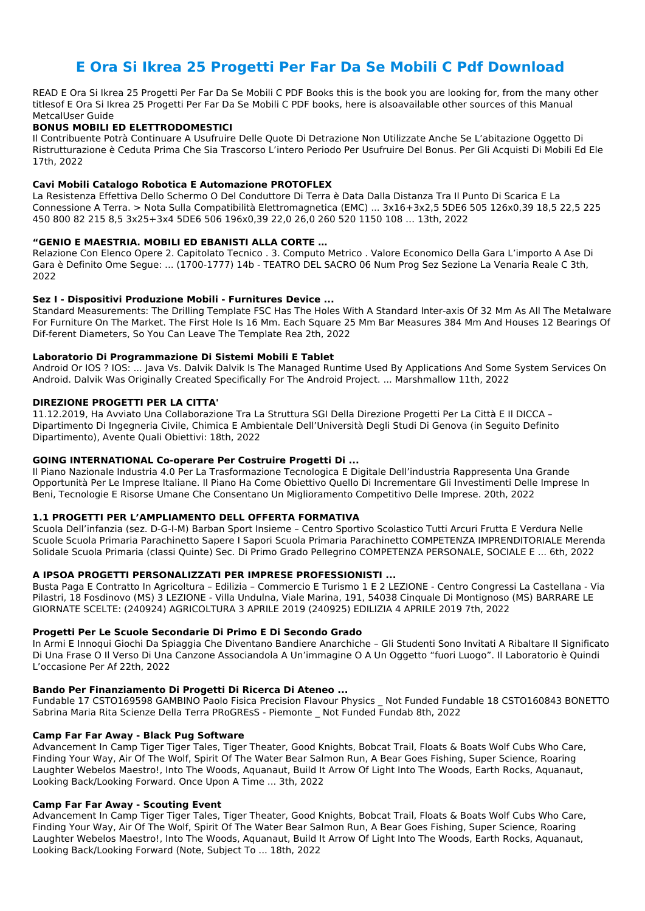# **E Ora Si Ikrea 25 Progetti Per Far Da Se Mobili C Pdf Download**

READ E Ora Si Ikrea 25 Progetti Per Far Da Se Mobili C PDF Books this is the book you are looking for, from the many other titlesof E Ora Si Ikrea 25 Progetti Per Far Da Se Mobili C PDF books, here is alsoavailable other sources of this Manual MetcalUser Guide

### **BONUS MOBILI ED ELETTRODOMESTICI**

Il Contribuente Potrà Continuare A Usufruire Delle Quote Di Detrazione Non Utilizzate Anche Se L'abitazione Oggetto Di Ristrutturazione è Ceduta Prima Che Sia Trascorso L'intero Periodo Per Usufruire Del Bonus. Per Gli Acquisti Di Mobili Ed Ele 17th, 2022

### **Cavi Mobili Catalogo Robotica E Automazione PROTOFLEX**

La Resistenza Effettiva Dello Schermo O Del Conduttore Di Terra è Data Dalla Distanza Tra Il Punto Di Scarica E La Connessione A Terra. > Nota Sulla Compatibilità Elettromagnetica (EMC) ... 3x16+3x2,5 5DE6 505 126x0,39 18,5 22,5 225 450 800 82 215 8,5 3x25+3x4 5DE6 506 196x0,39 22,0 26,0 260 520 1150 108 … 13th, 2022

### **"GENIO E MAESTRIA. MOBILI ED EBANISTI ALLA CORTE …**

Relazione Con Elenco Opere 2. Capitolato Tecnico . 3. Computo Metrico . Valore Economico Della Gara L'importo A Ase Di Gara è Definito Ome Segue: ... (1700-1777) 14b - TEATRO DEL SACRO 06 Num Prog Sez Sezione La Venaria Reale C 3th, 2022

### **Sez I - Dispositivi Produzione Mobili - Furnitures Device ...**

Standard Measurements: The Drilling Template FSC Has The Holes With A Standard Inter-axis Of 32 Mm As All The Metalware For Furniture On The Market. The First Hole Is 16 Mm. Each Square 25 Mm Bar Measures 384 Mm And Houses 12 Bearings Of Dif-ferent Diameters, So You Can Leave The Template Rea 2th, 2022

# **Laboratorio Di Programmazione Di Sistemi Mobili E Tablet**

Android Or IOS ? IOS: ... Java Vs. Dalvik Dalvik Is The Managed Runtime Used By Applications And Some System Services On Android. Dalvik Was Originally Created Specifically For The Android Project. ... Marshmallow 11th, 2022

# **DIREZIONE PROGETTI PER LA CITTA'**

11.12.2019, Ha Avviato Una Collaborazione Tra La Struttura SGI Della Direzione Progetti Per La Città E Il DICCA – Dipartimento Di Ingegneria Civile, Chimica E Ambientale Dell'Università Degli Studi Di Genova (in Seguito Definito Dipartimento), Avente Quali Obiettivi: 18th, 2022

# **GOING INTERNATIONAL Co-operare Per Costruire Progetti Di ...**

Il Piano Nazionale Industria 4.0 Per La Trasformazione Tecnologica E Digitale Dell'industria Rappresenta Una Grande Opportunità Per Le Imprese Italiane. Il Piano Ha Come Obiettivo Quello Di Incrementare Gli Investimenti Delle Imprese In Beni, Tecnologie E Risorse Umane Che Consentano Un Miglioramento Competitivo Delle Imprese. 20th, 2022

# **1.1 PROGETTI PER L'AMPLIAMENTO DELL OFFERTA FORMATIVA**

Scuola Dell'infanzia (sez. D-G-I-M) Barban Sport Insieme – Centro Sportivo Scolastico Tutti Arcuri Frutta E Verdura Nelle Scuole Scuola Primaria Parachinetto Sapere I Sapori Scuola Primaria Parachinetto COMPETENZA IMPRENDITORIALE Merenda Solidale Scuola Primaria (classi Quinte) Sec. Di Primo Grado Pellegrino COMPETENZA PERSONALE, SOCIALE E ... 6th, 2022

# **A IPSOA PROGETTI PERSONALIZZATI PER IMPRESE PROFESSIONISTI ...**

Busta Paga E Contratto In Agricoltura – Edilizia – Commercio E Turismo 1 E 2 LEZIONE - Centro Congressi La Castellana - Via Pilastri, 18 Fosdinovo (MS) 3 LEZIONE - Villa Undulna, Viale Marina, 191, 54038 Cinquale Di Montignoso (MS) BARRARE LE GIORNATE SCELTE: (240924) AGRICOLTURA 3 APRILE 2019 (240925) EDILIZIA 4 APRILE 2019 7th, 2022

#### **Progetti Per Le Scuole Secondarie Di Primo E Di Secondo Grado**

In Armi E Innoqui Giochi Da Spiaggia Che Diventano Bandiere Anarchiche – Gli Studenti Sono Invitati A Ribaltare Il Significato Di Una Frase O Il Verso Di Una Canzone Associandola A Un'immagine O A Un Oggetto "fuori Luogo". Il Laboratorio è Quindi L'occasione Per Af 22th, 2022

#### **Bando Per Finanziamento Di Progetti Di Ricerca Di Ateneo ...**

Fundable 17 CSTO169598 GAMBINO Paolo Fisica Precision Flavour Physics \_ Not Funded Fundable 18 CSTO160843 BONETTO Sabrina Maria Rita Scienze Della Terra PRoGREsS ‐ Piemonte \_ Not Funded Fundab 8th, 2022

#### **Camp Far Far Away - Black Pug Software**

Advancement In Camp Tiger Tiger Tales, Tiger Theater, Good Knights, Bobcat Trail, Floats & Boats Wolf Cubs Who Care, Finding Your Way, Air Of The Wolf, Spirit Of The Water Bear Salmon Run, A Bear Goes Fishing, Super Science, Roaring Laughter Webelos Maestro!, Into The Woods, Aquanaut, Build It Arrow Of Light Into The Woods, Earth Rocks, Aquanaut, Looking Back/Looking Forward. Once Upon A Time ... 3th, 2022

#### **Camp Far Far Away - Scouting Event**

Advancement In Camp Tiger Tiger Tales, Tiger Theater, Good Knights, Bobcat Trail, Floats & Boats Wolf Cubs Who Care, Finding Your Way, Air Of The Wolf, Spirit Of The Water Bear Salmon Run, A Bear Goes Fishing, Super Science, Roaring Laughter Webelos Maestro!, Into The Woods, Aquanaut, Build It Arrow Of Light Into The Woods, Earth Rocks, Aquanaut, Looking Back/Looking Forward (Note, Subject To ... 18th, 2022